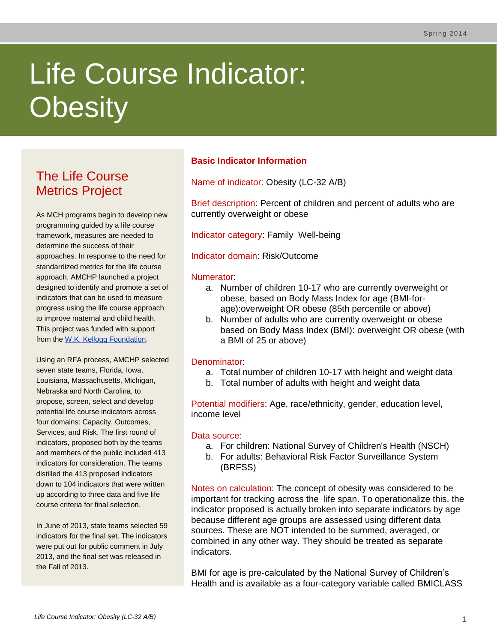# Life Course Indicator: **Obesity**

# The Life Course Metrics Project

As MCH programs begin to develop new programming guided by a life course framework, measures are needed to determine the success of their approaches. In response to the need for standardized metrics for the life course approach, AMCHP launched a project designed to identify and promote a set of indicators that can be used to measure progress using the life course approach to improve maternal and child health. This project was funded with support from the [W.K. Kellogg Foundation.](http://www.wkkf.org/)

Using an RFA process, AMCHP selected seven state teams, Florida, Iowa, Louisiana, Massachusetts, Michigan, Nebraska and North Carolina, to propose, screen, select and develop potential life course indicators across four domains: Capacity, Outcomes, Services, and Risk. The first round of indicators, proposed both by the teams and members of the public included 413 indicators for consideration. The teams distilled the 413 proposed indicators down to 104 indicators that were written up according to three data and five life course criteria for final selection.

In June of 2013, state teams selected 59 indicators for the final set. The indicators were put out for public comment in July 2013, and the final set was released in the Fall of 2013.

# **Basic Indicator Information**

Name of indicator: Obesity (LC-32 A/B)

Brief description: Percent of children and percent of adults who are currently overweight or obese

Indicator category: Family Well-being

Indicator domain: Risk/Outcome

# Numerator:

- a. Number of children 10-17 who are currently overweight or obese, based on Body Mass Index for age (BMI-forage):overweight OR obese (85th percentile or above)
- b. Number of adults who are currently overweight or obese based on Body Mass Index (BMI): overweight OR obese (with a BMI of 25 or above)

# Denominator:

- a. Total number of children 10-17 with height and weight data
- b. Total number of adults with height and weight data

Potential modifiers: Age, race/ethnicity, gender, education level, income level

# Data source:

- a. For children: National Survey of Children's Health (NSCH)
- b. For adults: Behavioral Risk Factor Surveillance System (BRFSS)

Notes on calculation: The concept of obesity was considered to be important for tracking across the life span. To operationalize this, the indicator proposed is actually broken into separate indicators by age because different age groups are assessed using different data sources. These are NOT intended to be summed, averaged, or combined in any other way. They should be treated as separate indicators.

BMI for age is pre-calculated by the National Survey of Children's Health and is available as a four-category variable called BMICLASS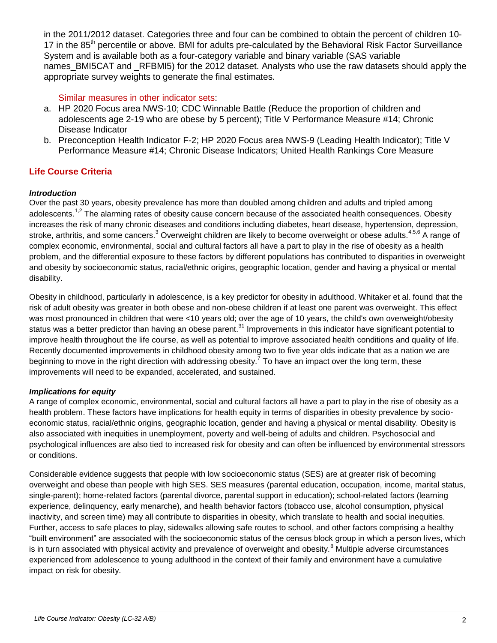in the 2011/2012 dataset. Categories three and four can be combined to obtain the percent of children 10- 17 in the 85<sup>th</sup> percentile or above. BMI for adults pre-calculated by the Behavioral Risk Factor Surveillance System and is available both as a four-category variable and binary variable (SAS variable names BMI5CAT and RFBMI5) for the 2012 dataset. Analysts who use the raw datasets should apply the appropriate survey weights to generate the final estimates.

# Similar measures in other indicator sets:

- a. HP 2020 Focus area NWS-10; CDC Winnable Battle (Reduce the proportion of children and adolescents age 2-19 who are obese by 5 percent); Title V Performance Measure #14; Chronic Disease Indicator
- b. Preconception Health Indicator F-2; HP 2020 Focus area NWS-9 (Leading Health Indicator); Title V Performance Measure #14; Chronic Disease Indicators; United Health Rankings Core Measure

# **Life Course Criteria**

#### *Introduction*

Over the past 30 years, obesity prevalence has more than doubled among children and adults and tripled among adolescents.<sup>1,2</sup> The alarming rates of obesity cause concern because of the associated health consequences. Obesity increases the risk of many chronic diseases and conditions including diabetes, heart disease, hypertension, depression, stroke, arthritis, and some cancers.<sup>3</sup> Overweight children are likely to become overweight or obese adults.<sup>4,5,6</sup> A range of complex economic, environmental, social and cultural factors all have a part to play in the rise of obesity as a health problem, and the differential exposure to these factors by different populations has contributed to disparities in overweight and obesity by socioeconomic status, racial/ethnic origins, geographic location, gender and having a physical or mental disability.

Obesity in childhood, particularly in adolescence, is a key predictor for obesity in adulthood. Whitaker et al. found that the risk of adult obesity was greater in both obese and non-obese children if at least one parent was overweight. This effect was most pronounced in children that were <10 years old; over the age of 10 years, the child's own overweight/obesity status was a better predictor than having an obese parent.<sup>[31](#page-2-0)</sup> Improvements in this indicator have significant potential to improve health throughout the life course, as well as potential to improve associated health conditions and quality of life. Recently documented improvements in childhood obesity among two to five year olds indicate that as a nation we are beginning to move in the right direction with addressing obesity.<sup>7</sup> To have an impact over the long term, these improvements will need to be expanded, accelerated, and sustained.

#### *Implications for equity*

A range of complex economic, environmental, social and cultural factors all have a part to play in the rise of obesity as a health problem. These factors have implications for health equity in terms of disparities in obesity prevalence by socioeconomic status, racial/ethnic origins, geographic location, gender and having a physical or mental disability. Obesity is also associated with inequities in unemployment, poverty and well-being of adults and children. Psychosocial and psychological influences are also tied to increased risk for obesity and can often be influenced by environmental stressors or conditions.

Considerable evidence suggests that people with low socioeconomic status (SES) are at greater risk of becoming overweight and obese than people with high SES. SES measures (parental education, occupation, income, marital status, single-parent); home-related factors (parental divorce, parental support in education); school-related factors (learning experience, delinquency, early menarche), and health behavior factors (tobacco use, alcohol consumption, physical inactivity, and screen time) may all contribute to disparities in obesity, which translate to health and social inequities. Further, access to safe places to play, sidewalks allowing safe routes to school, and other factors comprising a healthy "built environment" are associated with the socioeconomic status of the census block group in which a person lives, which is in turn associated with physical activity and prevalence of overweight and obesity.<sup>8</sup> Multiple adverse circumstances experienced from adolescence to young adulthood in the context of their family and environment have a cumulative impact on risk for obesity.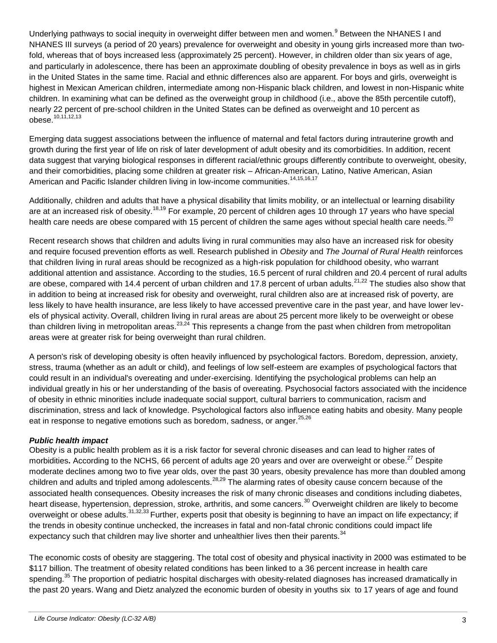Underlying pathways to social inequity in overweight differ between men and women.<sup>9</sup> Between the NHANES I and NHANES III surveys (a period of 20 years) prevalence for overweight and obesity in young girls increased more than twofold, whereas that of boys increased less (approximately 25 percent). However, in children older than six years of age, and particularly in adolescence, there has been an approximate doubling of obesity prevalence in boys as well as in girls in the United States in the same time. Racial and ethnic differences also are apparent. For boys and girls, overweight is highest in Mexican American children, intermediate among non-Hispanic black children, and lowest in non-Hispanic white children. In examining what can be defined as the overweight group in childhood (i.e., above the 85th percentile cutoff), nearly 22 percent of pre-school children in the United States can be defined as overweight and 10 percent as obese.10,11,12,13

Emerging data suggest associations between the influence of maternal and fetal factors during intrauterine growth and growth during the first year of life on risk of later development of adult obesity and its comorbidities. In addition, recent data suggest that varying biological responses in different racial/ethnic groups differently contribute to overweight, obesity, and their comorbidities, placing some children at greater risk – African-American, Latino, Native American, Asian American and Pacific Islander children living in low-income communities.<sup>14,15,16,17</sup>

<span id="page-2-1"></span>Additionally, children and adults that have a physical disability that limits mobility, or an intellectual or learning disability are at an increased risk of obesity.<sup>18,19</sup> For example, 20 percent of children ages 10 through 17 years who have special health care needs are obese compared with 15 percent of children the same ages without special health care needs.<sup>20</sup>

Recent research shows that children and adults living in rural communities may also have an increased risk for obesity and require focused prevention efforts as well. Research published in *Obesity* and *The Journal of Rural Health* reinforces that children living in rural areas should be recognized as a high-risk population for childhood obesity, who warrant additional attention and assistance. According to the studies, 16.5 percent of rural children and 20.4 percent of rural adults are obese, compared with 14.4 percent of urban children and 17.8 percent of urban adults.<sup>21,22</sup> The studies also show that in addition to being at increased risk for obesity and overweight, rural children also are at increased risk of poverty, are less likely to have health insurance, are less likely to have accessed preventive care in the past year, and have lower levels of physical activity. Overall, children living in rural areas are about 25 percent more likely to be overweight or obese than children living in metropolitan areas.  $23,24$  This represents a change from the past when children from metropolitan areas were at greater risk for being overweight than rural children.

A person's risk of developing obesity is often heavily influenced by psychological factors. Boredom, depression, anxiety, stress, trauma (whether as an adult or child), and feelings of low self-esteem are examples of psychological factors that could result in an individual's overeating and under-exercising. Identifying the psychological problems can help an individual greatly in his or her understanding of the basis of overeating. Psychosocial factors associated with the incidence of obesity in ethnic minorities include inadequate social support, cultural barriers to communication, racism and discrimination, stress and lack of knowledge. Psychological factors also influence eating habits and obesity. Many people eat in response to negative emotions such as boredom, sadness, or anger.<sup>25,26</sup>

#### *Public health impact*

Obesity is a public health problem as it is a risk factor for several chronic diseases and can lead to higher rates of morbidities. According to the NCHS, 66 percent of adults age 20 years and over are overweight or obese.<sup>27</sup> Despite moderate declines among two to five year olds, over the past 30 years, obesity prevalence has more than doubled among children and adults and tripled among adolescents.<sup>28,29</sup> The alarming rates of obesity cause concern because of the associated health consequences. Obesity increases the risk of many chronic diseases and conditions including diabetes, heart disease, hypertension, depression, stroke, arthritis, and some cancers.<sup>30</sup> Overweight children are likely to become overweight or obese adults.<sup>31,32,33</sup> Further, experts posit that obesity is beginning to have an impact on life expectancy; if the trends in obesity continue unchecked, the increases in fatal and non-fatal chronic conditions could impact life expectancy such that children may live shorter and unhealthier lives then their parents. $34$ 

<span id="page-2-0"></span>The economic costs of obesity are staggering. The total cost of obesity and physical inactivity in 2000 was estimated to be \$117 billion. The treatment of obesity related conditions has been linked to a 36 percent increase in health care spending.<sup>35</sup> The proportion of pediatric hospital discharges with obesity-related diagnoses has increased dramatically in the past 20 years. Wang and Dietz analyzed the economic burden of obesity in youths six to 17 years of age and found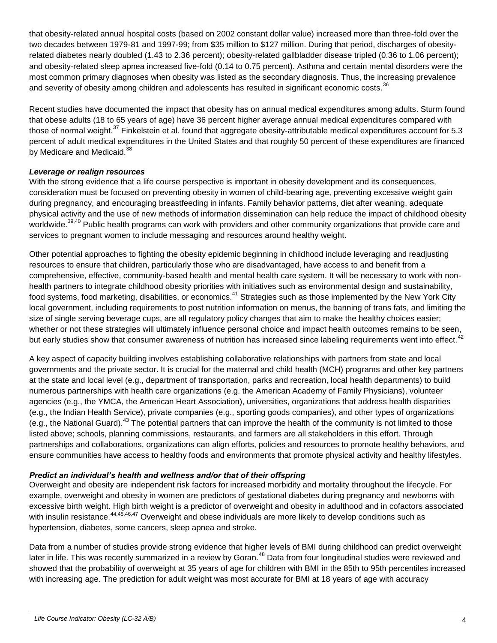that obesity-related annual hospital costs (based on 2002 constant dollar value) increased more than three-fold over the two decades between 1979-81 and 1997-99; from \$35 million to \$127 million. During that period, discharges of obesityrelated diabetes nearly doubled (1.43 to 2.36 percent); obesity-related gallbladder disease tripled (0.36 to 1.06 percent); and obesity-related sleep apnea increased five-fold (0.14 to 0.75 percent). Asthma and certain mental disorders were the most common primary diagnoses when obesity was listed as the secondary diagnosis. Thus, the increasing prevalence and severity of obesity among children and adolescents has resulted in significant economic costs.<sup>36</sup>

Recent studies have documented the impact that obesity has on annual medical expenditures among adults. Sturm found that obese adults (18 to 65 years of age) have 36 percent higher average annual medical expenditures compared with those of normal weight.<sup>37</sup> Finkelstein et al. found that aggregate obesity-attributable medical expenditures account for 5.3 percent of adult medical expenditures in the United States and that roughly 50 percent of these expenditures are financed by Medicare and Medicaid.<sup>38</sup>

#### *Leverage or realign resources*

With the strong evidence that a life course perspective is important in obesity development and its consequences, consideration must be focused on preventing obesity in women of child-bearing age, preventing excessive weight gain during pregnancy, and encouraging breastfeeding in infants. Family behavior patterns, diet after weaning, adequate physical activity and the use of new methods of information dissemination can help reduce the impact of childhood obesity worldwide.<sup>39,40</sup> Public health programs can work with providers and other community organizations that provide care and services to pregnant women to include messaging and resources around healthy weight.

Other potential approaches to fighting the obesity epidemic beginning in childhood include leveraging and readjusting resources to ensure that children, particularly those who are disadvantaged, have access to and benefit from a comprehensive, effective, community-based health and mental health care system. It will be necessary to work with nonhealth partners to integrate childhood obesity priorities with initiatives such as environmental design and sustainability, food systems, food marketing, disabilities, or economics.<sup>41</sup> Strategies such as those implemented by the New York City local government, including requirements to post nutrition information on menus, the banning of trans fats, and limiting the size of single serving beverage cups, are all regulatory policy changes that aim to make the healthy choices easier; whether or not these strategies will ultimately influence personal choice and impact health outcomes remains to be seen, but early studies show that consumer awareness of nutrition has increased since labeling requirements went into effect.<sup>42</sup>

A key aspect of capacity building involves establishing collaborative relationships with partners from state and local governments and the private sector. It is crucial for the maternal and child health (MCH) programs and other key partners at the state and local level (e.g., department of transportation, parks and recreation, local health departments) to build numerous partnerships with health care organizations (e.g. the American Academy of Family Physicians), volunteer agencies (e.g., the YMCA, the American Heart Association), universities, organizations that address health disparities (e.g., the Indian Health Service), private companies (e.g., sporting goods companies), and other types of organizations (e.g., the National Guard).<sup>43</sup> The potential partners that can improve the health of the community is not limited to those listed above; schools, planning commissions, restaurants, and farmers are all stakeholders in this effort. Through partnerships and collaborations, organizations can align efforts, policies and resources to promote healthy behaviors, and ensure communities have access to healthy foods and environments that promote physical activity and healthy lifestyles.

# *Predict an individual's health and wellness and/or that of their offspring*

Overweight and obesity are independent risk factors for increased morbidity and mortality throughout the lifecycle. For example, overweight and obesity in women are predictors of gestational diabetes during pregnancy and newborns with excessive birth weight. High birth weight is a predictor of overweight and obesity in adulthood and in cofactors associated with insulin resistance.<sup>44,45,46,47</sup> Overweight and obese individuals are more likely to develop conditions such as hypertension, diabetes, some cancers, sleep apnea and stroke.

Data from a number of studies provide strong evidence that higher levels of BMI during childhood can predict overweight later in life. This was recently summarized in a review by Goran.<sup>48</sup> Data from four longitudinal studies were reviewed and showed that the probability of overweight at 35 years of age for children with BMI in the 85th to 95th percentiles increased with increasing age. The prediction for adult weight was most accurate for BMI at 18 years of age with accuracy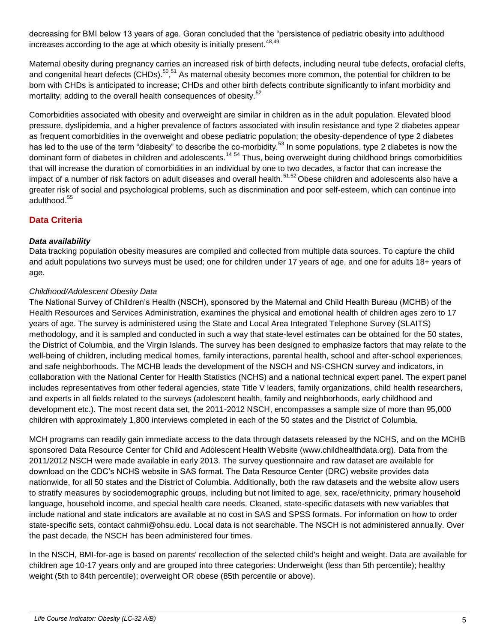decreasing for BMI below 13 years of age. Goran concluded that the "persistence of pediatric obesity into adulthood increases according to the age at which obesity is initially present.  $48,49$ 

Maternal obesity during pregnancy carries an increased risk of birth defects, including neural tube defects, orofacial clefts, and congenital heart defects (CHDs).<sup>50</sup>,<sup>51</sup> As maternal obesity becomes more common, the potential for children to be born with CHDs is anticipated to increase; CHDs and other birth defects contribute significantly to infant morbidity and mortality, adding to the overall health consequences of obesity.<sup>52</sup>

Comorbidities associated with obesity and overweight are similar in children as in the adult population. Elevated blood pressure, dyslipidemia, and a higher prevalence of factors associated with insulin resistance and type 2 diabetes appear as frequent comorbidities in the overweight and obese pediatric population; the obesity-dependence of type 2 diabetes has led to the use of the term "diabesity" to describe the co-morbidity.<sup>53</sup> In some populations, type 2 diabetes is now the dominant form of diabetes in children and adolescents.<sup>[14](#page-2-1) 54</sup> Thus, being overweight during childhood brings comorbidities that will increase the duration of comorbidities in an individual by one to two decades, a factor that can increase the impact of a number of risk factors on adult diseases and overall health.<sup>51,52</sup> Obese children and adolescents also have a greater risk of social and psychological problems, such as discrimination and poor self-esteem, which can continue into adulthood.<sup>55</sup>

# **Data Criteria**

# *Data availability*

Data tracking population obesity measures are compiled and collected from multiple data sources. To capture the child and adult populations two surveys must be used; one for children under 17 years of age, and one for adults 18+ years of age.

# *Childhood/Adolescent Obesity Data*

The National Survey of Children's Health (NSCH), sponsored by the Maternal and Child Health Bureau (MCHB) of the Health Resources and Services Administration, examines the physical and emotional health of children ages zero to 17 years of age. The survey is administered using the State and Local Area Integrated Telephone Survey (SLAITS) methodology, and it is sampled and conducted in such a way that state-level estimates can be obtained for the 50 states, the District of Columbia, and the Virgin Islands. The survey has been designed to emphasize factors that may relate to the well-being of children, including medical homes, family interactions, parental health, school and after-school experiences, and safe neighborhoods. The MCHB leads the development of the NSCH and NS-CSHCN survey and indicators, in collaboration with the National Center for Health Statistics (NCHS) and a national technical expert panel. The expert panel includes representatives from other federal agencies, state Title V leaders, family organizations, child health researchers, and experts in all fields related to the surveys (adolescent health, family and neighborhoods, early childhood and development etc.). The most recent data set, the 2011-2012 NSCH, encompasses a sample size of more than 95,000 children with approximately 1,800 interviews completed in each of the 50 states and the District of Columbia.

MCH programs can readily gain immediate access to the data through datasets released by the NCHS, and on the MCHB sponsored Data Resource Center for Child and Adolescent Health Website (www.childhealthdata.org). Data from the 2011/2012 NSCH were made available in early 2013. The survey questionnaire and raw dataset are available for download on the CDC's NCHS website in SAS format. The Data Resource Center (DRC) website provides data nationwide, for all 50 states and the District of Columbia. Additionally, both the raw datasets and the website allow users to stratify measures by sociodemographic groups, including but not limited to age, sex, race/ethnicity, primary household language, household income, and special health care needs. Cleaned, state-specific datasets with new variables that include national and state indicators are available at no cost in SAS and SPSS formats. For information on how to order state-specific sets, contact cahmi@ohsu.edu. Local data is not searchable. The NSCH is not administered annually. Over the past decade, the NSCH has been administered four times.

In the NSCH, BMI-for-age is based on parents' recollection of the selected child's height and weight. Data are available for children age 10-17 years only and are grouped into three categories: Underweight (less than 5th percentile); healthy weight (5th to 84th percentile); overweight OR obese (85th percentile or above).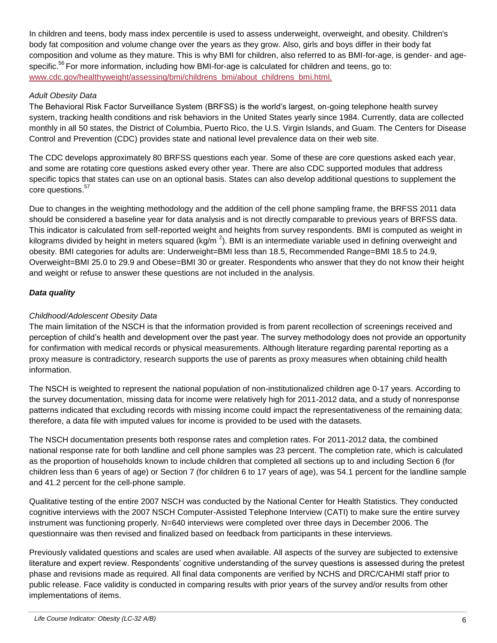In children and teens, body mass index percentile is used to assess underweight, overweight, and obesity. Children's body fat composition and volume change over the years as they grow. Also, girls and boys differ in their body fat composition and volume as they mature. This is why BMI for children, also referred to as BMI-for-age, is gender- and agespecific.<sup>56</sup> For more information, including how BMI-for-age is calculated for children and teens, go to: [www.cdc.gov/healthyweight/assessing/bmi/childrens\\_bmi/about\\_childrens\\_bmi.html.](http://www.cdc.gov/healthyweight/assessing/bmi/childrens_bmi/about_childrens_bmi.html)

# *Adult Obesity Data*

The Behavioral Risk Factor Surveillance System (BRFSS) is the world's largest, on-going telephone health survey system, tracking health conditions and risk behaviors in the United States yearly since 1984. Currently, data are collected monthly in all 50 states, the District of Columbia, Puerto Rico, the U.S. Virgin Islands, and Guam. The Centers for Disease Control and Prevention (CDC) provides state and national level prevalence data on their web site.

The CDC develops approximately 80 BRFSS questions each year. Some of these are core questions asked each year, and some are rotating core questions asked every other year. There are also CDC supported modules that address specific topics that states can use on an optional basis. States can also develop additional questions to supplement the core questions.<sup>57</sup>

Due to changes in the weighting methodology and the addition of the cell phone sampling frame, the BRFSS 2011 data should be considered a baseline year for data analysis and is not directly comparable to previous years of BRFSS data. This indicator is calculated from self-reported weight and heights from survey respondents. BMI is computed as weight in kilograms divided by height in meters squared (kg/m  $^2$ ). BMI is an intermediate variable used in defining overweight and obesity. BMI categories for adults are: Underweight=BMI less than 18.5, Recommended Range=BMI 18.5 to 24.9, Overweight=BMI 25.0 to 29.9 and Obese=BMI 30 or greater. Respondents who answer that they do not know their height and weight or refuse to answer these questions are not included in the analysis.

# *Data quality*

# *Childhood/Adolescent Obesity Data*

The main limitation of the NSCH is that the information provided is from parent recollection of screenings received and perception of child's health and development over the past year. The survey methodology does not provide an opportunity for confirmation with medical records or physical measurements. Although literature regarding parental reporting as a proxy measure is contradictory, research supports the use of parents as proxy measures when obtaining child health information.

The NSCH is weighted to represent the national population of non-institutionalized children age 0-17 years. According to the survey documentation, missing data for income were relatively high for 2011-2012 data, and a study of nonresponse patterns indicated that excluding records with missing income could impact the representativeness of the remaining data; therefore, a data file with imputed values for income is provided to be used with the datasets.

The NSCH documentation presents both response rates and completion rates. For 2011-2012 data, the combined national response rate for both landline and cell phone samples was 23 percent. The completion rate, which is calculated as the proportion of households known to include children that completed all sections up to and including Section 6 (for children less than 6 years of age) or Section 7 (for children 6 to 17 years of age), was 54.1 percent for the landline sample and 41.2 percent for the cell-phone sample.

Qualitative testing of the entire 2007 NSCH was conducted by the National Center for Health Statistics. They conducted cognitive interviews with the 2007 NSCH Computer-Assisted Telephone Interview (CATI) to make sure the entire survey instrument was functioning properly. N=640 interviews were completed over three days in December 2006. The questionnaire was then revised and finalized based on feedback from participants in these interviews.

Previously validated questions and scales are used when available. All aspects of the survey are subjected to extensive literature and expert review. Respondents' cognitive understanding of the survey questions is assessed during the pretest phase and revisions made as required. All final data components are verified by NCHS and DRC/CAHMI staff prior to public release. Face validity is conducted in comparing results with prior years of the survey and/or results from other implementations of items.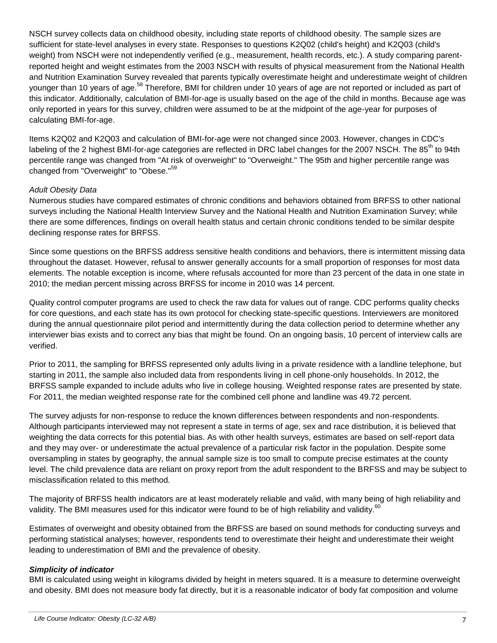NSCH survey collects data on childhood obesity, including state reports of childhood obesity. The sample sizes are sufficient for state-level analyses in every state. Responses to questions K2Q02 (child's height) and K2Q03 (child's weight) from NSCH were not independently verified (e.g., measurement, health records, etc.). A study comparing parentreported height and weight estimates from the 2003 NSCH with results of physical measurement from the National Health and Nutrition Examination Survey revealed that parents typically overestimate height and underestimate weight of children younger than 10 years of age.<sup>58</sup> Therefore, BMI for children under 10 years of age are not reported or included as part of this indicator. Additionally, calculation of BMI-for-age is usually based on the age of the child in months. Because age was only reported in years for this survey, children were assumed to be at the midpoint of the age-year for purposes of calculating BMI-for-age.

Items K2Q02 and K2Q03 and calculation of BMI-for-age were not changed since 2003. However, changes in CDC's labeling of the 2 highest BMI-for-age categories are reflected in DRC label changes for the 2007 NSCH. The 85<sup>th</sup> to 94th percentile range was changed from "At risk of overweight" to "Overweight." The 95th and higher percentile range was changed from "Overweight" to "Obese."<sup>59</sup>

# *Adult Obesity Data*

Numerous studies have compared estimates of chronic conditions and behaviors obtained from BRFSS to other national surveys including the National Health Interview Survey and the National Health and Nutrition Examination Survey; while there are some differences, findings on overall health status and certain chronic conditions tended to be similar despite declining response rates for BRFSS.

Since some questions on the BRFSS address sensitive health conditions and behaviors, there is intermittent missing data throughout the dataset. However, refusal to answer generally accounts for a small proportion of responses for most data elements. The notable exception is income, where refusals accounted for more than 23 percent of the data in one state in 2010; the median percent missing across BRFSS for income in 2010 was 14 percent.

Quality control computer programs are used to check the raw data for values out of range. CDC performs quality checks for core questions, and each state has its own protocol for checking state-specific questions. Interviewers are monitored during the annual questionnaire pilot period and intermittently during the data collection period to determine whether any interviewer bias exists and to correct any bias that might be found. On an ongoing basis, 10 percent of interview calls are verified.

Prior to 2011, the sampling for BRFSS represented only adults living in a private residence with a landline telephone, but starting in 2011, the sample also included data from respondents living in cell phone-only households. In 2012, the BRFSS sample expanded to include adults who live in college housing. Weighted response rates are presented by state. For 2011, the median weighted response rate for the combined cell phone and landline was 49.72 percent.

The survey adjusts for non-response to reduce the known differences between respondents and non-respondents. Although participants interviewed may not represent a state in terms of age, sex and race distribution, it is believed that weighting the data corrects for this potential bias. As with other health surveys, estimates are based on self-report data and they may over- or underestimate the actual prevalence of a particular risk factor in the population. Despite some oversampling in states by geography, the annual sample size is too small to compute precise estimates at the county level. The child prevalence data are reliant on proxy report from the adult respondent to the BRFSS and may be subject to misclassification related to this method.

The majority of BRFSS health indicators are at least moderately reliable and valid, with many being of high reliability and validity. The BMI measures used for this indicator were found to be of high reliability and validity.<sup>60</sup>

Estimates of overweight and obesity obtained from the BRFSS are based on sound methods for conducting surveys and performing statistical analyses; however, respondents tend to overestimate their height and underestimate their weight leading to underestimation of BMI and the prevalence of obesity.

#### *Simplicity of indicator*

BMI is calculated using weight in kilograms divided by height in meters squared. It is a measure to determine overweight and obesity. BMI does not measure body fat directly, but it is a reasonable indicator of body fat composition and volume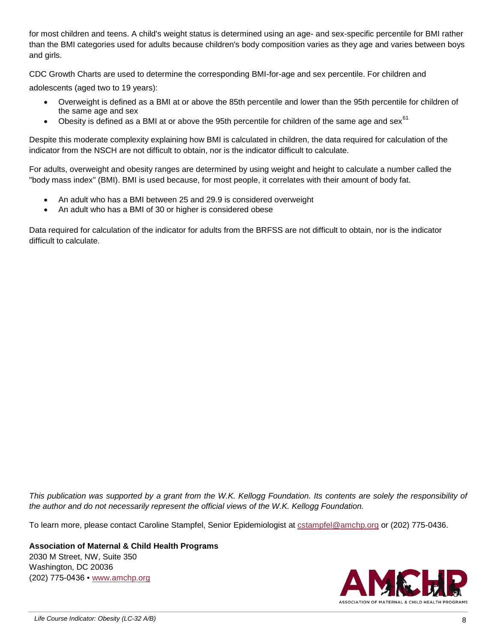for most children and teens. A child's weight status is determined using an age- and sex-specific percentile for BMI rather than the BMI categories used for adults because children's body composition varies as they age and varies between boys and girls.

CDC Growth Charts are used to determine the corresponding BMI-for-age and sex percentile. For children and adolescents (aged two to 19 years):

- Overweight is defined as a BMI at or above the 85th percentile and lower than the 95th percentile for children of the same age and sex
- $\bullet$  Obesity is defined as a BMI at or above the 95th percentile for children of the same age and sex<sup>61</sup>

Despite this moderate complexity explaining how BMI is calculated in children, the data required for calculation of the indicator from the NSCH are not difficult to obtain, nor is the indicator difficult to calculate.

For adults, overweight and obesity ranges are determined by using weight and height to calculate a number called the "body mass index" (BMI). BMI is used because, for most people, it correlates with their amount of body fat.

- An adult who has a BMI between 25 and 29.9 is considered overweight
- An adult who has a BMI of 30 or higher is considered obese

Data required for calculation of the indicator for adults from the BRFSS are not difficult to obtain, nor is the indicator difficult to calculate.

*This publication was supported by a grant from the W.K. Kellogg Foundation. Its contents are solely the responsibility of the author and do not necessarily represent the official views of the W.K. Kellogg Foundation.* 

To learn more, please contact Caroline Stampfel, Senior Epidemiologist at [cstampfel@amchp.org](mailto:cstampfel@amchp.org) or (202) 775-0436.

**Association of Maternal & Child Health Programs** 2030 M Street, NW, Suite 350 Washington, DC 20036 (202) 775-0436 ▪ [www.amchp.org](http://www.amchp.org/)

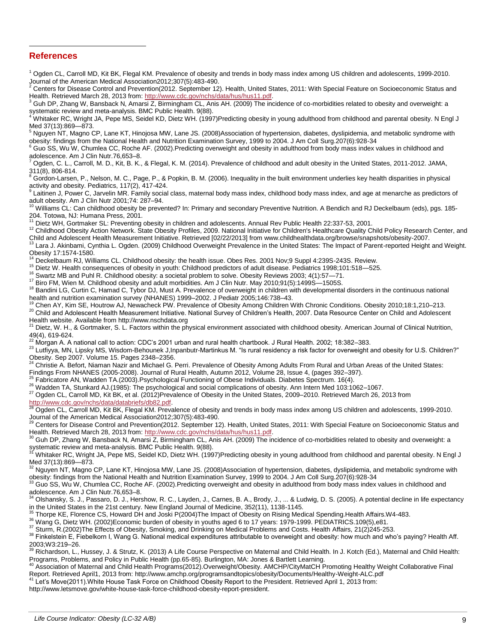#### **References**

 $\overline{\phantom{0}}$ 

 $1$  Ogden CL, Carroll MD, Kit BK, Flegal KM. Prevalence of obesity and trends in body mass index among US children and adolescents, 1999-2010.

Journal of the American Medical Association2012;307(5):483-490.<br><sup>2</sup> Centers for Disease Control and Prevention(2012. September 12). Health, United States, 2011: With Special Feature on Socioeconomic Status and Health. Retrieved March 28, 2013 from[: http://www.cdc.gov/nchs/data/hus/hus11.pdf.](http://www.cdc.gov/nchs/data/hus/hus11.pdf)

<sup>3</sup> Guh DP, Zhang W, Bansback N, Amarsi Z, Birmingham CL, Anis AH. (2009) The incidence of co-morbidities related to obesity and overweight: a

systematic review and meta-analysis. BMC Public Health. 9(88).<br><sup>4</sup> Whitaker RC, Wright JA, Pepe MS, Seidel KD, Dietz WH. (1997)Predicting obesity in young adulthood from childhood and parental obesity. N Engl J Med 37(13):869—873.

<sup>5</sup> Nguyen NT, Magno CP, Lane KT, Hinojosa MW, Lane JS. (2008)Association of hypertension, diabetes, dyslipidemia, and metabolic syndrome with obesity: findings from the National Health and Nutrition Examination Survey, 1999 to 2004. J Am Coll Surg.207(6):928-34

<sup>6</sup> Guo SS, Wu W, Chumlea CC, Roche AF. (2002).Predicting overweight and obesity in adulthood from body mass index values in childhood and adolescence. Am J Clin Nutr.76,653–8.

<sup>7</sup> Ogden, C. L., Carroll, M. D., Kit, B. K., & Flegal, K. M. (2014). Prevalence of childhood and adult obesity in the United States, 2011-2012. JAMA, 311(8), 806-814.

Gordon-Larsen, P., Nelson, M. C., Page, P., & Popkin, B. M. (2006). Inequality in the built environment underlies key health disparities in physical activity and obesity. Pediatrics, 117(2), 417-424.

 $^9$  Laitinen J, Power C, Jarvelin MR. Family social class, maternal body mass index, childhood body mass index, and age at menarche as predictors of adult obesity. Am J Clin Nutr 2001;74: 287–94.

<sup>10</sup> Williams CL: Can childhood obesity be prevented? In: Primary and secondary Preventive Nutrition. A Bendich and RJ Deckelbaum (eds), pgs. 185-

204. Totowa, NJ: Humana Press, 2001. <sup>11</sup> Dietz WH, Gortmaker SL: Preventing obesity in children and adolescents. Annual Rev Public Health 22:337-53, 2001.

<sup>12</sup> Childhood Obesity Action Network. State Obesity Profiles, 2009. National Initiative for Children's Healthcare Quality Child Policy Research Center, and

Child and Adolescent Health Measurement Initiative. Retrieved [02/22/2013] from www.childhealthdata.org/browse/snapshots/obesity-2007.<br><sup>13</sup> Lara J. Akinbami, Cynthia L. Ogden. (2009) Childhood Overweight Prevalence in the Obesity 17:1574-1580.

<sup>14</sup> Deckelbaum RJ, Williams CL. Childhood obesity: the health issue. Obes Res. 2001 Nov;9 Suppl 4:239S-243S. Review.

<sup>15</sup> Dietz W. Health consequences of obesity in youth: Childhood predictors of adult disease. Pediatrics 1998;101:518—525.

<sup>16</sup> Swartz MB and Puhl R. Childhood obesity: a societal problem to solve. Obesity Reviews 2003; 4(1):57—71.

<sup>17</sup> Biro FM, Wien M. Childhood obesity and adult morbidities. Am J Clin Nutr. May 2010;91(5):1499S—1505S.

<sup>18</sup> Bandini LG, Curtin C, Hamad C, Tybor DJ, Must A. Prevalence of overweight in children with developmental disorders in the continuous national health and nutrition examination survey (NHANES) 1999–2002. J Pediatr 2005;146:738–43.

<sup>19</sup> Chen AY, Kim SE, Houtrow AJ, Newacheck PW. Prevalence of Obesity Among Children With Chronic Conditions. Obesity 2010;18:1,210–213.

<sup>20</sup> Child and Adolescent Health Measurement Initiative. National Survey of Children's Health, 2007. Data Resource Center on Child and Adolescent Health website. Available from http://www.nschdata.org

<sup>21</sup> Dietz, W. H., & Gortmaker, S. L. Factors within the physical environment associated with childhood obesity. American Journal of Clinical Nutrition, 49(4), 619-624.

<sup>22</sup> Morgan A. A national call to action: CDC's 2001 urban and rural health chartbook. J Rural Health. 2002; 18:382–383.

23 Lutfiyya, MN, Lipsky MS, Wisdom-Behounek J, Inpanbutr-Martinkus M. "Is rural residency a risk factor for overweight and obesity for U.S. Children?" Obesity. Sep 2007. Volume 15. Pages 2348–2356.<br><sup>24</sup> Christie A. Refering 15. Cages 2348–2356.

<sup>24</sup> Christie A. Befort, Niaman Nazir and Michael G. Perri. Prevalence of Obesity Among Adults From Rural and Urban Areas of the United States:

Findings From NHANES (2005-2008). Journal of Rural Health, Autumn 2012, Volume 28, Issue 4, (pages 392–397).

 $^{25}$  Fabricatore AN, Wadden TA.(2003). Psychological Functioning of Obese Individuals. Diabetes Spectrum. 16(4).

<sup>26</sup> Wadden TA, Stunkard AJ.(1985): The psychological and social complications of obesity. Ann Intern Med 103:1062-1067.

 $^{27}$  Ogden CL, Carroll MD, Kit BK, et al. (2012)Prevalence of Obesity in the United States, 2009–2010. Retrieved March 26, 2013 from

<u>http://www.cdc.gov/nchs/data/databriefs/db82.pdf</u>.<br><sup>28</sup> Ogden CL, Carroll MD, Kit BK, Flegal KM. Prevalence of obesity and trends in body mass index among US children and adolescents, 1999-2010.

Journal of the American Medical Association2012;307(5):483-490.<br><sup>29</sup> Centers for Disease Control and Prevention(2012. September 12). Health, United States, 2011: With Special Feature on Socioeconomic Status and

Health. Retrieved March 28, 2013 from: <u>http://www.cdc.gov/nchs/data/hus/hus11.pdf</u>.<br><sup>30</sup> Guh DP, Zhang W, Bansback N, Amarsi Z, Birmingham CL, Anis AH. (2009) The incidence of co-morbidities related to obesity and overwei systematic review and meta-analysis. BMC Public Health. 9(88).

Whitaker RC, Wright JA, Pepe MS, Seidel KD, Dietz WH. (1997)Predicting obesity in young adulthood from childhood and parental obesity. N Engl J

Med 37(13):869—873.<br><sup>32</sup> Nguyen NT, Magno CP, Lane KT, Hinojosa MW, Lane JS. (2008)Association of hypertension, diabetes, dyslipidemia, and metabolic syndrome with obesity: findings from the National Health and Nutrition Examination Survey, 1999 to 2004. J Am Coll Surg.207(6):928-34

Guo SS, Wu W, Chumlea CC, Roche AF. (2002).Predicting overweight and obesity in adulthood from body mass index values in childhood and adolescence. Am J Clin Nutr.76,653-8.<br> $34$  Olshansky, S. J. Passaro, D. J. Here

<sup>34</sup> Olshansky, S. J., Passaro, D. J., Hershow, R. C., Layden, J., Carnes, B. A., Brody, J., ... & Ludwig, D. S. (2005). A potential decline in life expectancy in the United States in the 21st century. New England Journal of Medicine, 352(11), 1138-1145.

<sup>35</sup> Thorpe KE, Florence CS, Howard DH and Joski P(2004)The Impact of Obesity on Rising Medical Spending.Health Affairs.W4-483.

<sup>36</sup> Wang G, Dietz WH. (2002)Economic burden of obesity in youths aged 6 to 17 years: 1979-1999. PEDIATRICS.109(5),e81.

<sup>37</sup> Sturm, R.(2002)The Effects of Obesity, Smoking, and Drinking on Medical Problems and Costs. Health Affairs, 21(2)245-253.

38 Finkelstein E, Fiebelkorn I, Wang G. National medical expenditures attributable to overweight and obesity: how much and who's paying? Health Aff. 2003;W3:219–26.<br><sup>39</sup> Richardson, L., Hussey, J. & Strutz, K. (2013) A Life Course Perspective on Maternal and Child Health. In J. Kotch (Ed.), Maternal and Child Health:

Programs, Problems, and Policy in Public Health (pp.65-85). Burlington, MA: Jones & Bartlett Learning.

<sup>40</sup> Association of Maternal and Child Health Programs(2012).Overweight/Obesity. AMCHP/CityMatCH Promoting Healthy Weight Collaborative Final

Report. Retrieved April1, 2013 from: http://www.amchp.org/programsandtopics/obesity/Documents/Healthy-Weight-ALC.pdf<br><sup>41</sup> Let's Move(2011).White House Task Force on Childhood Obesity Report to the President. Retrieved Apri

http://www.letsmove.gov/white-house-task-force-childhood-obesity-report-president.